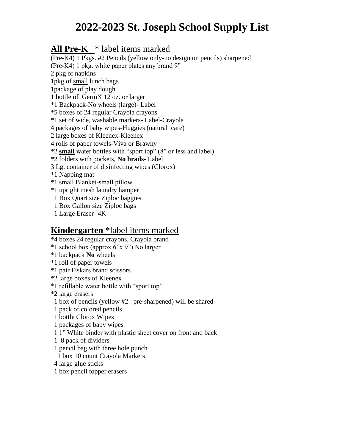# **2022-2023 St. Joseph School Supply List**

#### **All Pre-K** \* label items marked

(Pre-K4) 1 Pkgs. #2 Pencils (yellow only-no design on pencils) sharpened (Pre-K4) 1 pkg. white paper plates any brand 9" 2 pkg of napkins 1pkg of small lunch bags 1package of play dough 1 bottle of GermX 12 oz. or larger \*1 Backpack-No wheels (large)- Label \*5 boxes of 24 regular Crayola crayons \*1 set of wide, washable markers- Label-Crayola 4 packages of baby wipes-Huggies (natural care) 2 large boxes of Kleenex-Kleenex 4 rolls of paper towels-Viva or Brawny \*2 **small** water bottles with "sport top" (8" or less and label) \*2 folders with pockets, **No brads**- Label 3 Lg. container of disinfecting wipes (Clorox) \*1 Napping mat \*1 small Blanket-small pillow \*1 upright mesh laundry hamper 1 Box Quart size Ziploc baggies 1 Box Gallon size Ziploc bags 1 Large Eraser- 4K

#### **Kindergarten** \*label items marked

- \*4 boxes 24 regular crayons, Crayola brand
- \*1 school box (approx 6"x 9") No larger
- \*1 backpack **No** wheels
- \*1 roll of paper towels
- \*1 pair Fiskars brand scissors
- \*2 large boxes of Kleenex
- \*1 refillable water bottle with "sport top"
- \*2 large erasers
- 1 box of pencils (yellow #2 –pre-sharpened) will be shared
- 1 pack of colored pencils
- 1 bottle Clorox Wipes
- 1 packages of baby wipes
- 1 1" White binder with plastic sheet cover on front and back
- 1 8 pack of dividers
- 1 pencil bag with three hole punch
- 1 box 10 count Crayola Markers
- 4 large glue sticks
- 1 box pencil topper erasers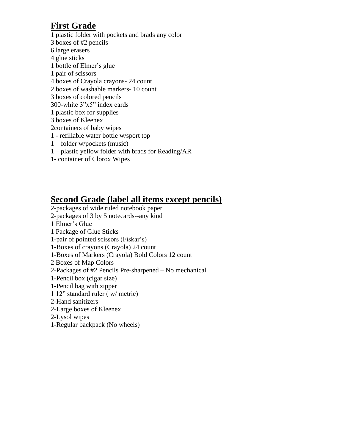### **First Grade**

1 plastic folder with pockets and brads any color 3 boxes of #2 pencils 6 large erasers 4 glue sticks 1 bottle of Elmer's glue 1 pair of scissors 4 boxes of Crayola crayons- 24 count 2 boxes of washable markers- 10 count 3 boxes of colored pencils 300-white 3"x5" index cards 1 plastic box for supplies 3 boxes of Kleenex 2containers of baby wipes 1 - refillable water bottle w/sport top 1 – folder w/pockets (music) 1 – plastic yellow folder with brads for Reading/AR 1- container of Clorox Wipes

#### **Second Grade (label all items except pencils)**

- 2-packages of wide ruled notebook paper
- 2-packages of 3 by 5 notecards--any kind
- 1 Elmer's Glue
- 1 Package of Glue Sticks
- 1-pair of pointed scissors (Fiskar's)
- 1-Boxes of crayons (Crayola) 24 count
- 1-Boxes of Markers (Crayola) Bold Colors 12 count
- 2 Boxes of Map Colors
- 2-Packages of #2 Pencils Pre-sharpened No mechanical
- 1-Pencil box (cigar size)
- 1-Pencil bag with zipper
- 1 12" standard ruler ( w/ metric)
- 2-Hand sanitizers
- 2-Large boxes of Kleenex
- 2-Lysol wipes
- 1-Regular backpack (No wheels)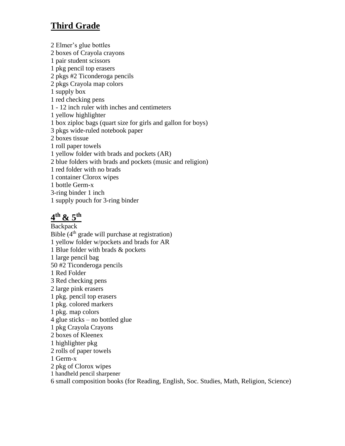# **Third Grade**

2 Elmer's glue bottles 2 boxes of Crayola crayons 1 pair student scissors 1 pkg pencil top erasers 2 pkgs #2 Ticonderoga pencils 2 pkgs Crayola map colors 1 supply box 1 red checking pens 1 - 12 inch ruler with inches and centimeters 1 yellow highlighter 1 box ziploc bags (quart size for girls and gallon for boys) 3 pkgs wide-ruled notebook paper 2 boxes tissue 1 roll paper towels 1 yellow folder with brads and pockets (AR) 2 blue folders with brads and pockets (music and religion) 1 red folder with no brads 1 container Clorox wipes 1 bottle Germ-x 3-ring binder 1 inch 1 supply pouch for 3-ring binder

# **4 th & 5th**

Backpack Bible  $(4<sup>th</sup>$  grade will purchase at registration) 1 yellow folder w/pockets and brads for AR 1 Blue folder with brads & pockets 1 large pencil bag 50 #2 Ticonderoga pencils 1 Red Folder 3 Red checking pens 2 large pink erasers 1 pkg. pencil top erasers 1 pkg. colored markers 1 pkg. map colors 4 glue sticks – no bottled glue 1 pkg Crayola Crayons 2 boxes of Kleenex 1 highlighter pkg 2 rolls of paper towels 1 Germ-x 2 pkg of Clorox wipes 1 handheld pencil sharpener

6 small composition books (for Reading, English, Soc. Studies, Math, Religion, Science)